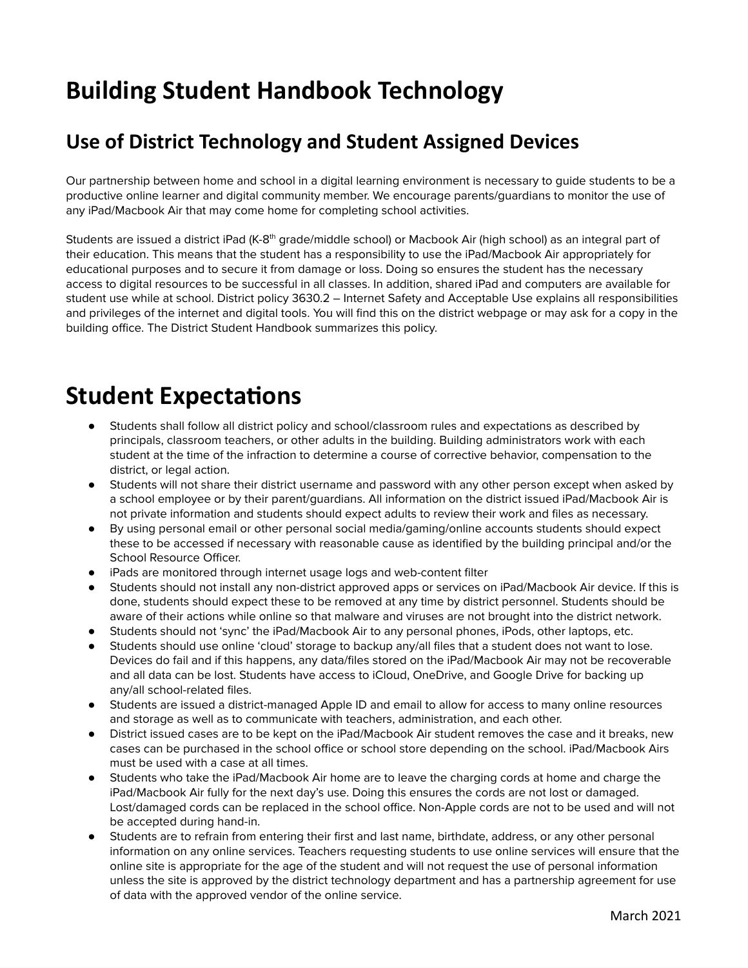# **Building Student Handbook Technology**

### **Use of District Technology and Student Assigned Devices**

Our partnership between home and school in a digital learning environment is necessary to guide students to be a productive online learner and digital community member. We encourage parents/guardians to monitor the use of any iPad/Macbook Air that may come home for completing school activities.

Students are issued a district iPad (K-8<sup>th</sup> grade/middle school) or Macbook Air (high school) as an integral part of their education. This means that the student has a responsibility to use the iPad/Macbook Air appropriately for educational purposes and to secure it from damage or loss. Doing so ensures the student has the necessary access to digital resources to be successful in all classes. In addition, shared iPad and computers are available for student use while at school. District policy 3630.2 – Internet Safety and Acceptable Use explains all responsibilities and privileges of the internet and digital tools. You will find this on the district webpage or may ask for a copy in the building office. The District Student Handbook summarizes this policy.

### **Student Expectations**

- Students shall follow all district policy and school/classroom rules and expectations as described by principals, classroom teachers, or other adults in the building. Building administrators work with each student at the time of the infraction to determine a course of corrective behavior, compensation to the district, or legal action.
- Students will not share their district username and password with any other person except when asked by a school employee or by their parent/guardians. All information on the district issued iPad/Macbook Air is not private information and students should expect adults to review their work and files as necessary.
- By using personal email or other personal social media/gaming/online accounts students should expect these to be accessed if necessary with reasonable cause as identified by the building principal and/or the School Resource Officer.
- iPads are monitored through internet usage logs and web-content filter
- Students should not install any non-district approved apps or services on iPad/Macbook Air device. If this is done, students should expect these to be removed at any time by district personnel. Students should be aware of their actions while online so that malware and viruses are not brought into the district network.
- Students should not 'sync' the iPad/Macbook Air to any personal phones, iPods, other laptops, etc.
- Students should use online 'cloud' storage to backup any/all files that a student does not want to lose. Devices do fail and if this happens, any data/files stored on the iPad/Macbook Air may not be recoverable and all data can be lost. Students have access to iCloud, OneDrive, and Google Drive for backing up any/all school-related files.
- Students are issued a district-managed Apple ID and email to allow for access to many online resources and storage as well as to communicate with teachers, administration, and each other.
- District issued cases are to be kept on the iPad/Macbook Air student removes the case and it breaks, new cases can be purchased in the school office or school store depending on the school. iPad/Macbook Airs must be used with a case at all times.
- Students who take the iPad/Macbook Air home are to leave the charging cords at home and charge the iPad/Macbook Air fully for the next day's use. Doing this ensures the cords are not lost or damaged. Lost/damaged cords can be replaced in the school office. Non-Apple cords are not to be used and will not be accepted during hand-in.
- Students are to refrain from entering their first and last name, birthdate, address, or any other personal information on any online services. Teachers requesting students to use online services will ensure that the online site is appropriate for the age of the student and will not request the use of personal information unless the site is approved by the district technology department and has a partnership agreement for use of data with the approved vendor of the online service.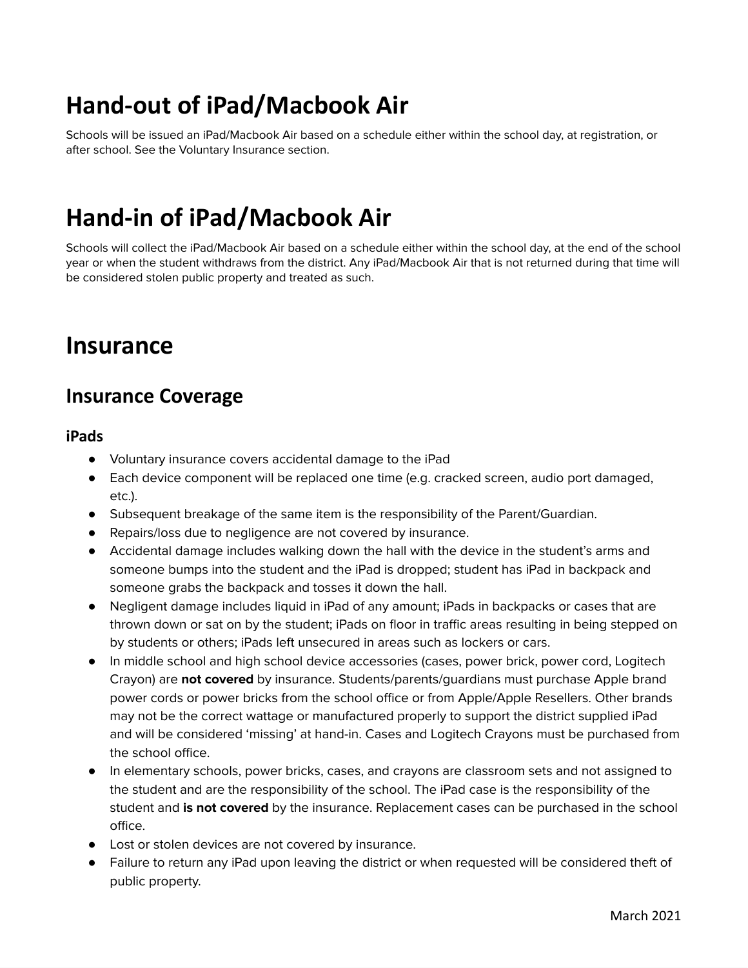# **Hand-out of iPad/Macbook Air**

Schools will be issued an iPad/Macbook Air based on a schedule either within the school day, at registration, or after school. See the Voluntary Insurance section.

# **Hand-in of iPad/Macbook Air**

Schools will collect the iPad/Macbook Air based on a schedule either within the school day, at the end of the school year or when the student withdraws from the district. Any iPad/Macbook Air that is not returned during that time will be considered stolen public property and treated as such.

### **Insurance**

### **Insurance Coverage**

#### **iPads**

- Voluntary insurance covers accidental damage to the iPad
- Each device component will be replaced one time (e.g. cracked screen, audio port damaged, etc.).
- Subsequent breakage of the same item is the responsibility of the Parent/Guardian.
- Repairs/loss due to negligence are not covered by insurance.
- Accidental damage includes walking down the hall with the device in the student's arms and someone bumps into the student and the iPad is dropped; student has iPad in backpack and someone grabs the backpack and tosses it down the hall.
- Negligent damage includes liquid in iPad of any amount; iPads in backpacks or cases that are thrown down or sat on by the student; iPads on floor in traffic areas resulting in being stepped on by students or others; iPads left unsecured in areas such as lockers or cars.
- In middle school and high school device accessories (cases, power brick, power cord, Logitech Crayon) are **not covered** by insurance. Students/parents/guardians must purchase Apple brand power cords or power bricks from the school office or from Apple/Apple Resellers. Other brands may not be the correct wattage or manufactured properly to support the district supplied iPad and will be considered 'missing' at hand-in. Cases and Logitech Crayons must be purchased from the school office.
- In elementary schools, power bricks, cases, and crayons are classroom sets and not assigned to the student and are the responsibility of the school. The iPad case is the responsibility of the student and **is not covered** by the insurance. Replacement cases can be purchased in the school office.
- Lost or stolen devices are not covered by insurance.
- Failure to return any iPad upon leaving the district or when requested will be considered theft of public property.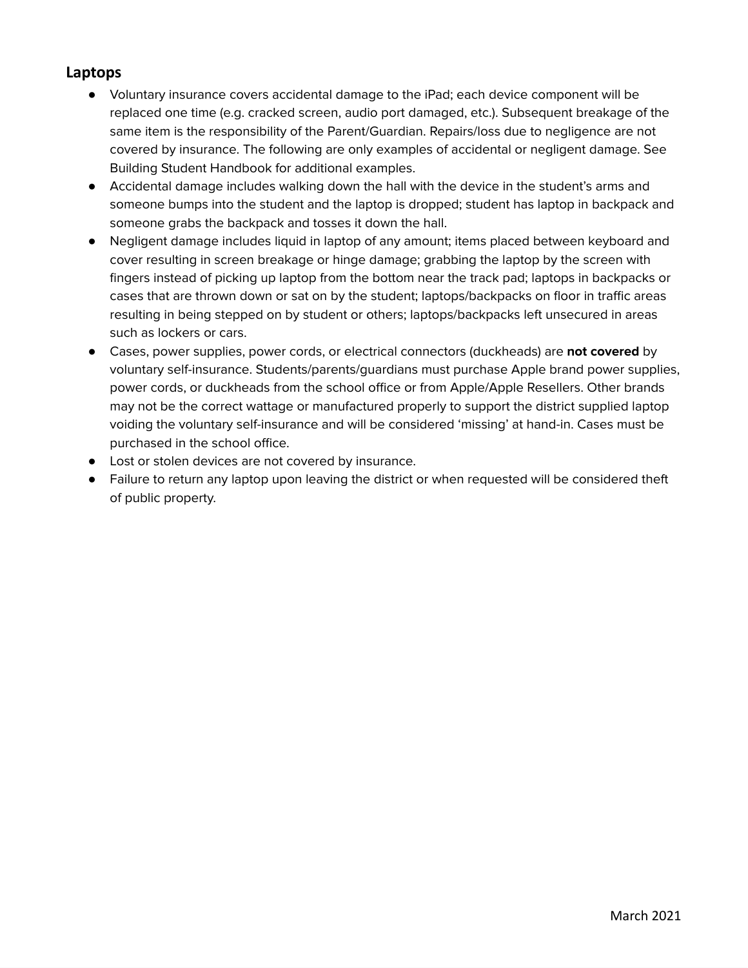#### **Laptops**

- Voluntary insurance covers accidental damage to the iPad; each device component will be replaced one time (e.g. cracked screen, audio port damaged, etc.). Subsequent breakage of the same item is the responsibility of the Parent/Guardian. Repairs/loss due to negligence are not covered by insurance. The following are only examples of accidental or negligent damage. See Building Student Handbook for additional examples.
- Accidental damage includes walking down the hall with the device in the student's arms and someone bumps into the student and the laptop is dropped; student has laptop in backpack and someone grabs the backpack and tosses it down the hall.
- Negligent damage includes liquid in laptop of any amount; items placed between keyboard and cover resulting in screen breakage or hinge damage; grabbing the laptop by the screen with fingers instead of picking up laptop from the bottom near the track pad; laptops in backpacks or cases that are thrown down or sat on by the student; laptops/backpacks on floor in traffic areas resulting in being stepped on by student or others; laptops/backpacks left unsecured in areas such as lockers or cars.
- Cases, power supplies, power cords, or electrical connectors (duckheads) are **not covered** by voluntary self-insurance. Students/parents/guardians must purchase Apple brand power supplies, power cords, or duckheads from the school office or from Apple/Apple Resellers. Other brands may not be the correct wattage or manufactured properly to support the district supplied laptop voiding the voluntary self-insurance and will be considered 'missing' at hand-in. Cases must be purchased in the school office.
- Lost or stolen devices are not covered by insurance.
- Failure to return any laptop upon leaving the district or when requested will be considered theft of public property.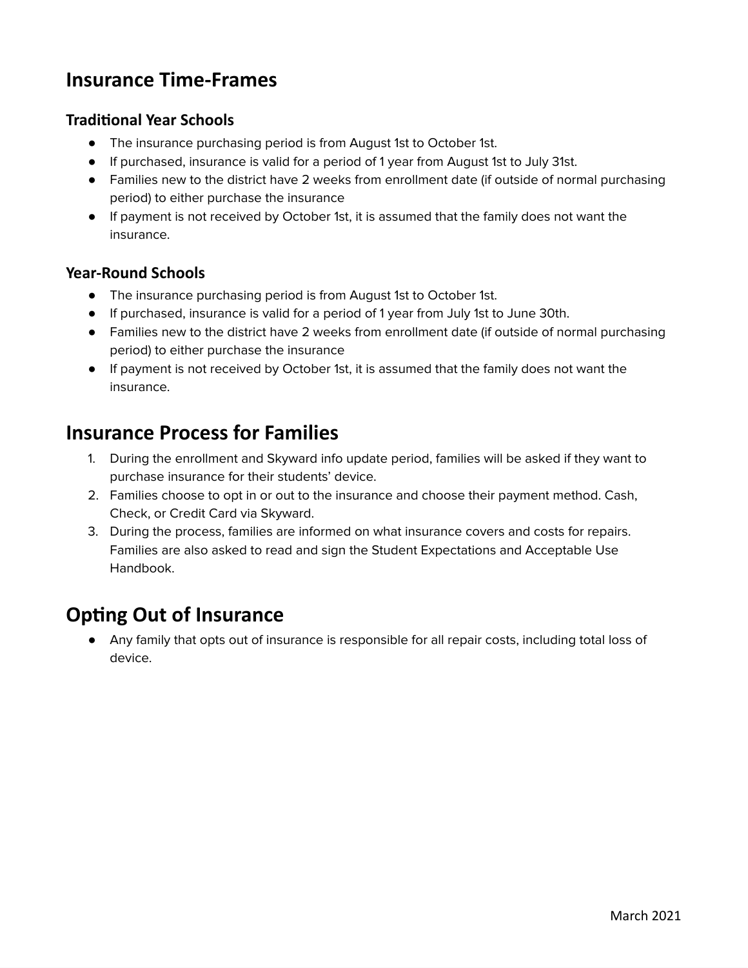### **Insurance Time-Frames**

#### **Traditional Year Schools**

- The insurance purchasing period is from August 1st to October 1st.
- If purchased, insurance is valid for a period of 1 year from August 1st to July 31st.
- Families new to the district have 2 weeks from enrollment date (if outside of normal purchasing period) to either purchase the insurance
- If payment is not received by October 1st, it is assumed that the family does not want the insurance.

#### **Year-Round Schools**

- The insurance purchasing period is from August 1st to October 1st.
- If purchased, insurance is valid for a period of 1 year from July 1st to June 30th.
- Families new to the district have 2 weeks from enrollment date (if outside of normal purchasing period) to either purchase the insurance
- If payment is not received by October 1st, it is assumed that the family does not want the insurance.

### **Insurance Process for Families**

- 1. During the enrollment and Skyward info update period, families will be asked if they want to purchase insurance for their students' device.
- 2. Families choose to opt in or out to the insurance and choose their payment method. Cash, Check, or Credit Card via Skyward.
- 3. During the process, families are informed on what insurance covers and costs for repairs. Families are also asked to read and sign the Student Expectations and Acceptable Use Handbook.

### **Opting Out of Insurance**

● Any family that opts out of insurance is responsible for all repair costs, including total loss of device.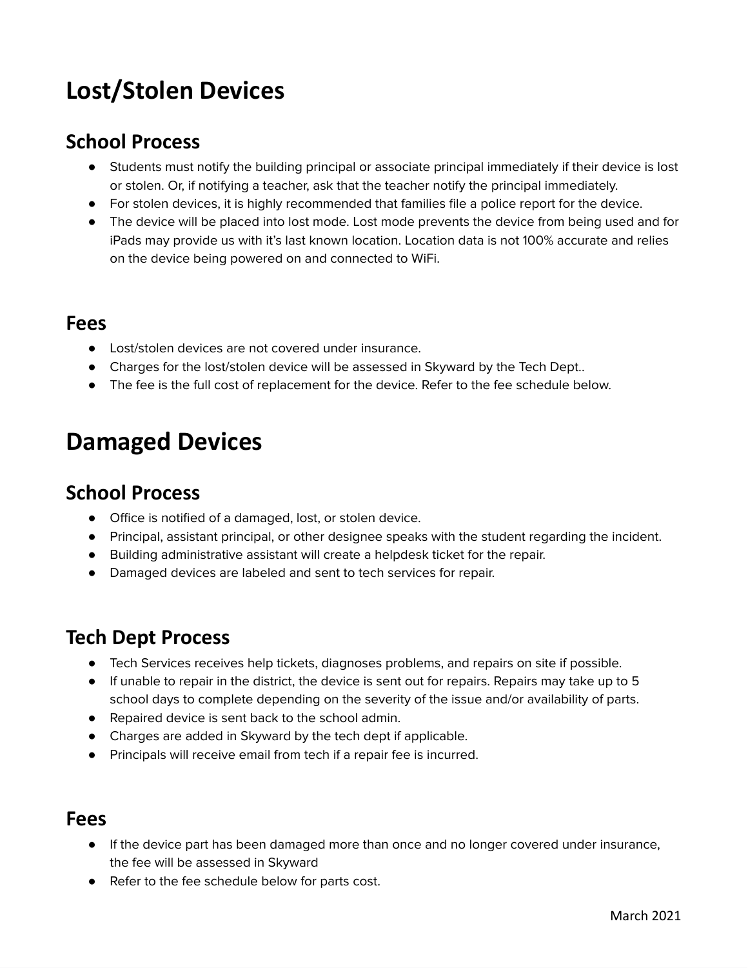# **Lost/Stolen Devices**

### **School Process**

- Students must notify the building principal or associate principal immediately if their device is lost or stolen. Or, if notifying a teacher, ask that the teacher notify the principal immediately.
- For stolen devices, it is highly recommended that families file a police report for the device.
- The device will be placed into lost mode. Lost mode prevents the device from being used and for iPads may provide us with it's last known location. Location data is not 100% accurate and relies on the device being powered on and connected to WiFi.

#### **Fees**

- Lost/stolen devices are not covered under insurance.
- Charges for the lost/stolen device will be assessed in Skyward by the Tech Dept..
- The fee is the full cost of replacement for the device. Refer to the fee schedule below.

## **Damaged Devices**

#### **School Process**

- Office is notified of a damaged, lost, or stolen device.
- Principal, assistant principal, or other designee speaks with the student regarding the incident.
- Building administrative assistant will create a helpdesk ticket for the repair.
- Damaged devices are labeled and sent to tech services for repair.

### **Tech Dept Process**

- Tech Services receives help tickets, diagnoses problems, and repairs on site if possible.
- If unable to repair in the district, the device is sent out for repairs. Repairs may take up to 5 school days to complete depending on the severity of the issue and/or availability of parts.
- Repaired device is sent back to the school admin.
- Charges are added in Skyward by the tech dept if applicable.
- Principals will receive email from tech if a repair fee is incurred.

#### **Fees**

- If the device part has been damaged more than once and no longer covered under insurance, the fee will be assessed in Skyward
- Refer to the fee schedule below for parts cost.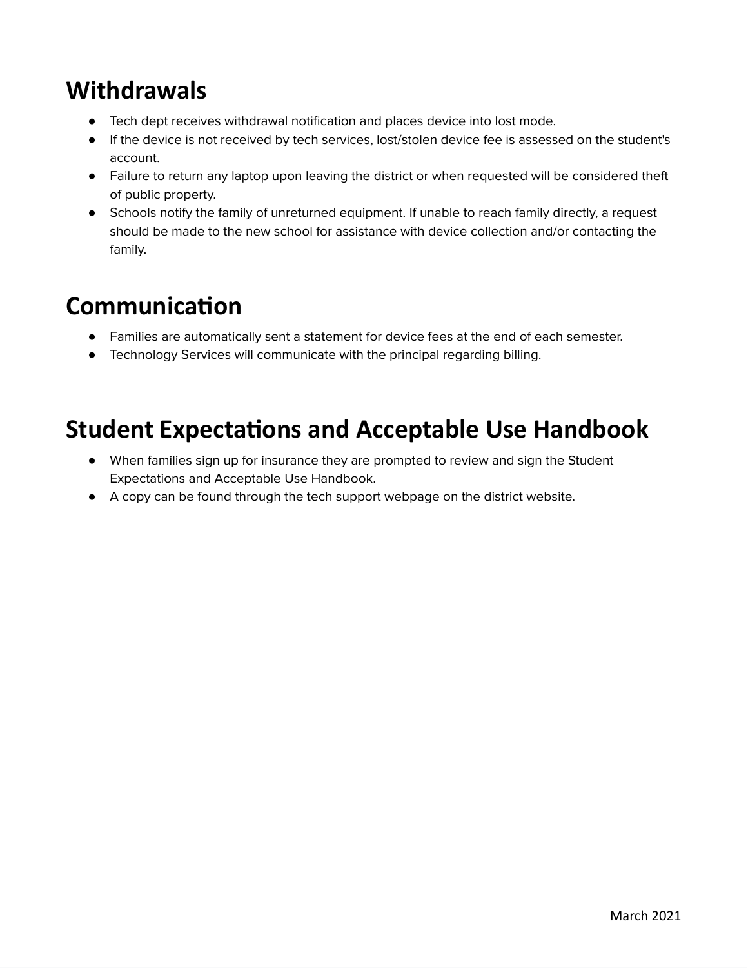## **Withdrawals**

- Tech dept receives withdrawal notification and places device into lost mode.
- If the device is not received by tech services, lost/stolen device fee is assessed on the student's account.
- Failure to return any laptop upon leaving the district or when requested will be considered theft of public property.
- Schools notify the family of unreturned equipment. If unable to reach family directly, a request should be made to the new school for assistance with device collection and/or contacting the family.

## **Communication**

- Families are automatically sent a statement for device fees at the end of each semester.
- Technology Services will communicate with the principal regarding billing.

## **Student Expectations and Acceptable Use Handbook**

- When families sign up for insurance they are prompted to review and sign the Student Expectations and Acceptable Use Handbook.
- A copy can be found through the tech support webpage on the district website.